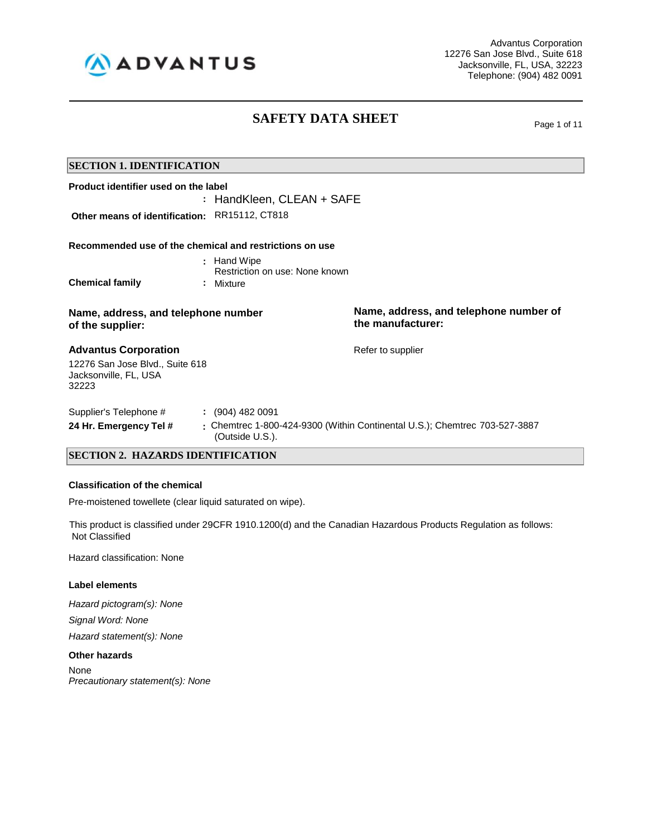

Advantus Corporation 12276 San Jose Blvd., Suite 618 Jacksonville, FL, USA, 32223 Telephone: (904) 482 0091

## **SAFETY DATA SHEET** Page 1 of 11

| <b>SECTION 1. IDENTIFICATION</b>                                  |                           |                                                                            |  |
|-------------------------------------------------------------------|---------------------------|----------------------------------------------------------------------------|--|
| Product identifier used on the label                              |                           |                                                                            |  |
|                                                                   | : HandKleen, CLEAN + SAFE |                                                                            |  |
| Other means of identification:                                    | RR15112, CT818            |                                                                            |  |
| Recommended use of the chemical and restrictions on use           |                           |                                                                            |  |
|                                                                   | : Hand Wipe               |                                                                            |  |
| Restriction on use: None known                                    |                           |                                                                            |  |
| <b>Chemical family</b>                                            | : Mixture                 |                                                                            |  |
| Name, address, and telephone number<br>of the supplier:           |                           | Name, address, and telephone number of<br>the manufacturer:                |  |
| <b>Advantus Corporation</b>                                       |                           | Refer to supplier                                                          |  |
| 12276 San Jose Blvd., Suite 618<br>Jacksonville, FL, USA<br>32223 |                           |                                                                            |  |
| Supplier's Telephone #                                            | $\colon$ (904) 482 0091   |                                                                            |  |
| 24 Hr. Emergency Tel #                                            | (Outside U.S.).           | : Chemtrec 1-800-424-9300 (Within Continental U.S.); Chemtrec 703-527-3887 |  |
| <b>SECTION 2. HAZARDS IDENTIFICATION</b>                          |                           |                                                                            |  |

### **Classification of the chemical**

Pre-moistened towellete (clear liquid saturated on wipe).

 This product is classified under 29CFR 1910.1200(d) and the Canadian Hazardous Products Regulation as follows: Not Classified

Hazard classification: None

#### **Label elements**

*Hazard pictogram(s): None Signal Word: None*

*Hazard statement(s): None*

#### **Other hazards**

None *Precautionary statement(s): None*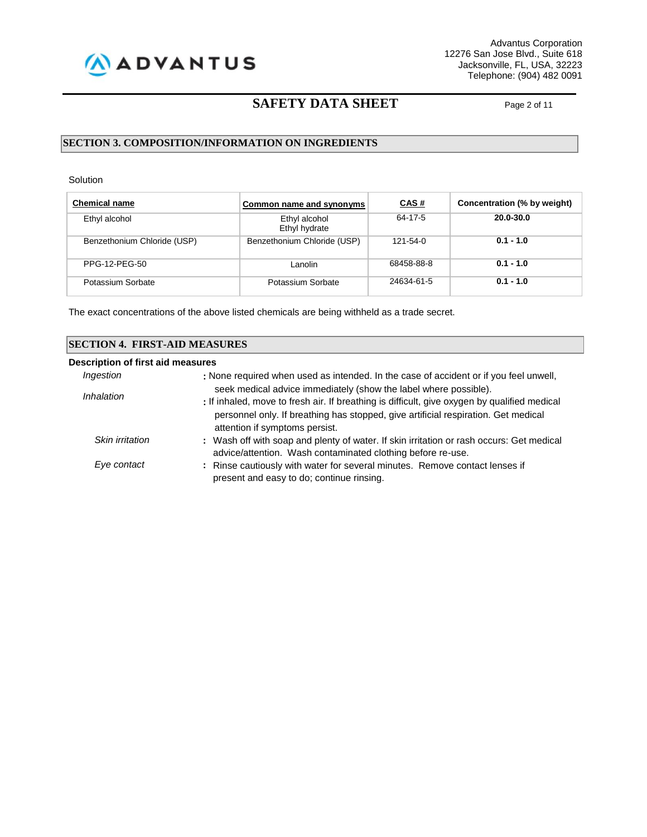

### **SAFETY DATA SHEET** Page 2 of 11

#### **SECTION 3. COMPOSITION/INFORMATION ON INGREDIENTS**

Solution

| <b>Chemical name</b>        | Common name and synonyms       | <u>CAS#</u> | Concentration (% by weight) |
|-----------------------------|--------------------------------|-------------|-----------------------------|
| Ethyl alcohol               | Ethyl alcohol<br>Ethyl hydrate | 64-17-5     | 20.0-30.0                   |
| Benzethonium Chloride (USP) | Benzethonium Chloride (USP)    | 121-54-0    | $0.1 - 1.0$                 |
| PPG-12-PEG-50               | Lanolin                        | 68458-88-8  | $0.1 - 1.0$                 |
| Potassium Sorbate           | Potassium Sorbate              | 24634-61-5  | $0.1 - 1.0$                 |

The exact concentrations of the above listed chemicals are being withheld as a trade secret.

| <b>SECTION 4. FIRST-AID MEASURES</b> |                                                                                                                          |  |  |
|--------------------------------------|--------------------------------------------------------------------------------------------------------------------------|--|--|
| Description of first aid measures    |                                                                                                                          |  |  |
| Ingestion                            | : None required when used as intended. In the case of accident or if you feel unwell,                                    |  |  |
| Inhalation                           | seek medical advice immediately (show the label where possible).                                                         |  |  |
|                                      | : If inhaled, move to fresh air. If breathing is difficult, give oxygen by qualified medical                             |  |  |
|                                      | personnel only. If breathing has stopped, give artificial respiration. Get medical<br>attention if symptoms persist.     |  |  |
| Skin irritation                      | : Wash off with soap and plenty of water. If skin irritation or rash occurs: Get medical                                 |  |  |
|                                      | advice/attention. Wash contaminated clothing before re-use.                                                              |  |  |
| Eye contact                          | : Rinse cautiously with water for several minutes. Remove contact lenses if<br>present and easy to do; continue rinsing. |  |  |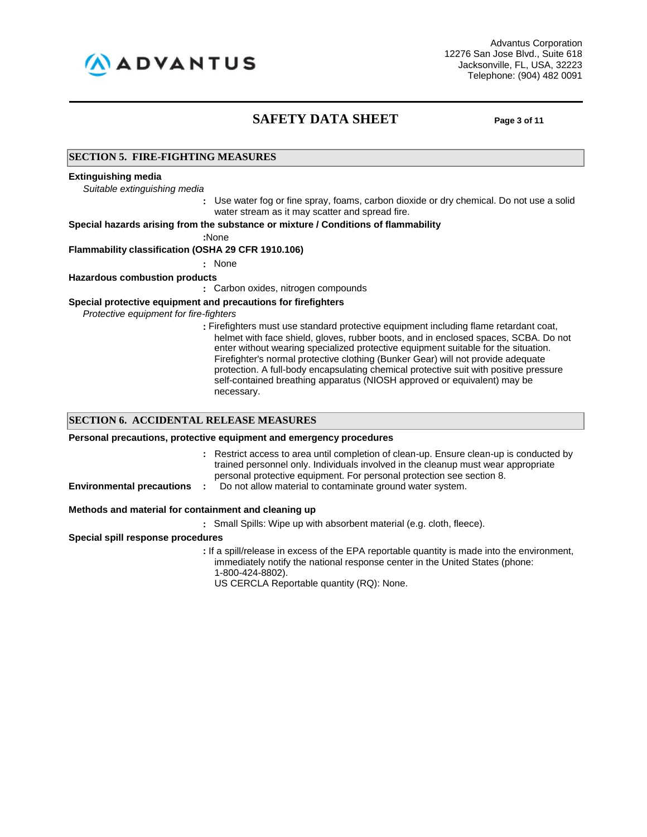

### **SAFETY DATA SHEET Page 3 of 11**

#### **SECTION 5. FIRE-FIGHTING MEASURES**

#### **Extinguishing media**

*Suitable extinguishing media*

**:** Use water fog or fine spray, foams, carbon dioxide or dry chemical. Do not use a solid water stream as it may scatter and spread fire.

**Special hazards arising from the substance or mixture / Conditions of flammability**

**:**None

#### **Flammability classification (OSHA 29 CFR 1910.106)**

**:** None

#### **Hazardous combustion products**

**:** Carbon oxides, nitrogen compounds

#### **Special protective equipment and precautions for firefighters**

*Protective equipment for fire-fighters*

**:** Firefighters must use standard protective equipment including flame retardant coat, helmet with face shield, gloves, rubber boots, and in enclosed spaces, SCBA. Do not enter without wearing specialized protective equipment suitable for the situation. Firefighter's normal protective clothing (Bunker Gear) will not provide adequate protection. A full-body encapsulating chemical protective suit with positive pressure self-contained breathing apparatus (NIOSH approved or equivalent) may be necessary.

#### **SECTION 6. ACCIDENTAL RELEASE MEASURES**

#### **Personal precautions, protective equipment and emergency procedures**

- **:** Restrict access to area until completion of clean-up. Ensure clean-up is conducted by trained personnel only. Individuals involved in the cleanup must wear appropriate personal protective equipment. For personal protection see section 8.
- 
- **Environmental precautions** : Do not allow material to contaminate ground water system.

#### **Methods and material for containment and cleaning up**

**:** Small Spills: Wipe up with absorbent material (e.g. cloth, fleece).

**Special spill response procedures**

**:** If a spill/release in excess of the EPA reportable quantity is made into the environment, immediately notify the national response center in the United States (phone: 1-800-424-8802).

US CERCLA Reportable quantity (RQ): None.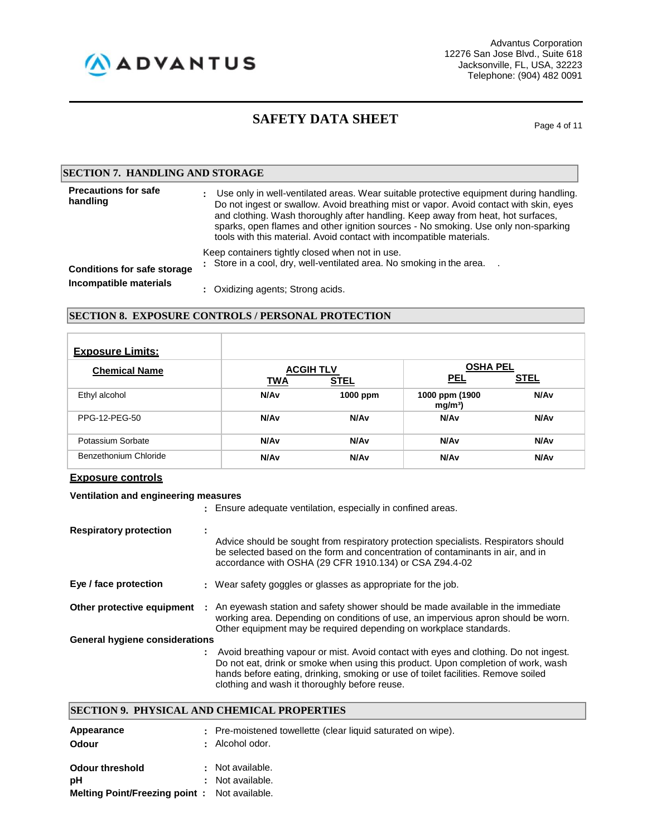

# **SAFETY DATA SHEET** Page 4 of 11

| <b>SECTION 7. HANDLING AND STORAGE</b>  |                                                                                                                                                                                                                                                                                                                                                                                                                                          |  |
|-----------------------------------------|------------------------------------------------------------------------------------------------------------------------------------------------------------------------------------------------------------------------------------------------------------------------------------------------------------------------------------------------------------------------------------------------------------------------------------------|--|
| <b>Precautions for safe</b><br>handling | Use only in well-ventilated areas. Wear suitable protective equipment during handling.<br>÷.<br>Do not ingest or swallow. Avoid breathing mist or vapor. Avoid contact with skin, eyes<br>and clothing. Wash thoroughly after handling. Keep away from heat, hot surfaces,<br>sparks, open flames and other ignition sources - No smoking. Use only non-sparking<br>tools with this material. Avoid contact with incompatible materials. |  |
| <b>Conditions for safe storage</b>      | Keep containers tightly closed when not in use.<br>: Store in a cool, dry, well-ventilated area. No smoking in the area.                                                                                                                                                                                                                                                                                                                 |  |
| Incompatible materials                  | : Oxidizing agents; Strong acids.                                                                                                                                                                                                                                                                                                                                                                                                        |  |

#### **SECTION 8. EXPOSURE CONTROLS / PERSONAL PROTECTION**

| <b>Exposure Limits:</b> |                                |                  |                                     |                  |
|-------------------------|--------------------------------|------------------|-------------------------------------|------------------|
| <b>Chemical Name</b>    | <b>ACGIH TLV</b><br><b>TWA</b> | <b>STEL</b>      | <b>OSHA PEL</b><br><b>PEL</b>       | <b>STEL</b>      |
| Ethyl alcohol           | N/Av                           | 1000 ppm         | 1000 ppm (1900<br>mg/m <sup>3</sup> | N/Av             |
| PPG-12-PEG-50           | N/Av                           | N/A <sub>v</sub> | N/Av                                | N/A <sub>v</sub> |
| Potassium Sorbate       | N/Av                           | N/Av             | N/Av                                | N/A <sub>v</sub> |
| Benzethonium Chloride   | N/Av                           | N/A <sub>v</sub> | N/Av                                | <b>N/Av</b>      |

#### **Exposure controls**

#### **Ventilation and engineering measures**

|                                       |                | : Ensure adequate ventilation, especially in confined areas.                                                                                                                                                                                                                                                      |
|---------------------------------------|----------------|-------------------------------------------------------------------------------------------------------------------------------------------------------------------------------------------------------------------------------------------------------------------------------------------------------------------|
| <b>Respiratory protection</b>         | $\blacksquare$ | Advice should be sought from respiratory protection specialists. Respirators should<br>be selected based on the form and concentration of contaminants in air, and in<br>accordance with OSHA (29 CFR 1910.134) or CSA Z94.4-02                                                                                   |
| Eye / face protection                 |                | : Wear safety goggles or glasses as appropriate for the job.                                                                                                                                                                                                                                                      |
| Other protective equipment            |                | : An eyewash station and safety shower should be made available in the immediate<br>working area. Depending on conditions of use, an impervious apron should be worn.<br>Other equipment may be required depending on workplace standards.                                                                        |
| <b>General hygiene considerations</b> |                |                                                                                                                                                                                                                                                                                                                   |
|                                       |                | : Avoid breathing vapour or mist. Avoid contact with eyes and clothing. Do not ingest.<br>Do not eat, drink or smoke when using this product. Upon completion of work, wash<br>hands before eating, drinking, smoking or use of toilet facilities. Remove soiled<br>clothing and wash it thoroughly before reuse. |

#### **SECTION 9. PHYSICAL AND CHEMICAL PROPERTIES**

| Appearance<br><b>Odour</b>                   | ۰. | : Pre-moistened towellette (clear liquid saturated on wipe).<br>Alcohol odor. |
|----------------------------------------------|----|-------------------------------------------------------------------------------|
| <b>Odour threshold</b>                       |    | : Not available.                                                              |
| рH                                           |    | : Not available.                                                              |
| Melting Point/Freezing point: Not available. |    |                                                                               |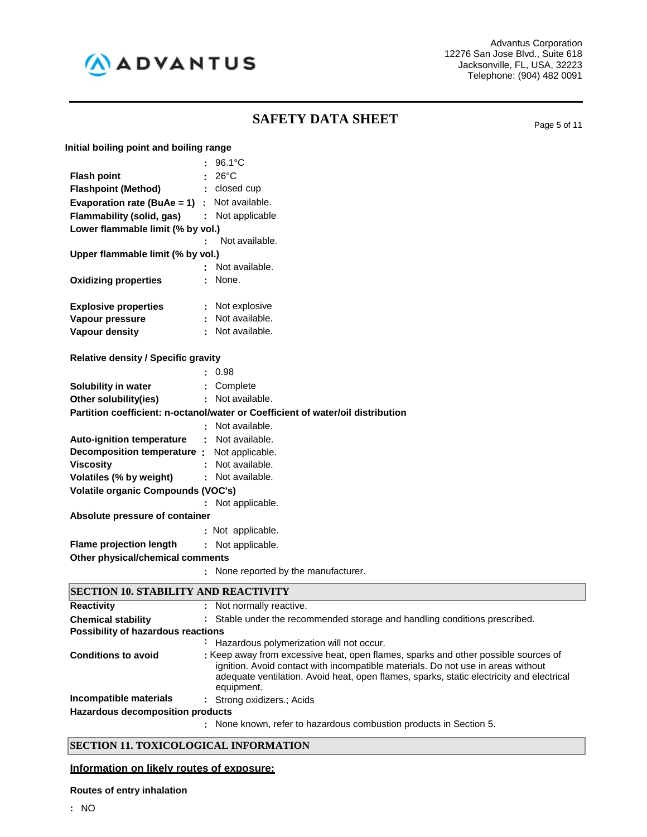

# **SAFETY DATA SHEET** Page 5 of 11

| Initial boiling point and boiling range |  |  |
|-----------------------------------------|--|--|
|                                         |  |  |

|                                                                 | 96.1°C                                                                          |
|-----------------------------------------------------------------|---------------------------------------------------------------------------------|
| <b>Flash point</b>                                              | $26^{\circ}$ C                                                                  |
| <b>Flashpoint (Method)</b>                                      | : closed cup                                                                    |
| <b>Evaporation rate (BuAe = 1)</b> : Not available.             |                                                                                 |
| Flammability (solid, gas) : Not applicable                      |                                                                                 |
| Lower flammable limit (% by vol.)                               |                                                                                 |
|                                                                 | Not available.                                                                  |
| Upper flammable limit (% by vol.)                               |                                                                                 |
|                                                                 | Not available.                                                                  |
| <b>Oxidizing properties</b>                                     | None.                                                                           |
|                                                                 |                                                                                 |
| <b>Explosive properties</b>                                     | : Not explosive                                                                 |
| Vapour pressure                                                 | : Not available.                                                                |
| <b>Vapour density</b>                                           | : Not available.                                                                |
| <b>Relative density / Specific gravity</b>                      |                                                                                 |
|                                                                 | 0.98                                                                            |
|                                                                 |                                                                                 |
| Solubility in water<br>Other solubility(ies)                    | : Complete<br>: Not available.                                                  |
|                                                                 | Partition coefficient: n-octanol/water or Coefficient of water/oil distribution |
|                                                                 | : Not available.                                                                |
|                                                                 | ÷                                                                               |
| <b>Auto-ignition temperature</b><br>Decomposition temperature : | Not available.                                                                  |
| <b>Viscosity</b>                                                | Not applicable.<br>Not available.                                               |
| Volatiles (% by weight)                                         | : Not available.                                                                |
| <b>Volatile organic Compounds (VOC's)</b>                       |                                                                                 |
|                                                                 | Not applicable.                                                                 |
| Absolute pressure of container                                  |                                                                                 |
|                                                                 | : Not applicable.                                                               |
| <b>Flame projection length</b>                                  | Not applicable.<br>÷.                                                           |
| Other physical/chemical comments                                |                                                                                 |
|                                                                 | None reported by the manufacturer.<br>÷                                         |
|                                                                 |                                                                                 |

| <b>SECTION 10. STABILITY AND REACTIVITY</b> |                                                                                                                                                                                                                                                                                  |  |
|---------------------------------------------|----------------------------------------------------------------------------------------------------------------------------------------------------------------------------------------------------------------------------------------------------------------------------------|--|
| <b>Reactivity</b>                           | : Not normally reactive.                                                                                                                                                                                                                                                         |  |
| <b>Chemical stability</b>                   | : Stable under the recommended storage and handling conditions prescribed.                                                                                                                                                                                                       |  |
| Possibility of hazardous reactions          |                                                                                                                                                                                                                                                                                  |  |
|                                             | : Hazardous polymerization will not occur.                                                                                                                                                                                                                                       |  |
| <b>Conditions to avoid</b>                  | : Keep away from excessive heat, open flames, sparks and other possible sources of<br>ignition. Avoid contact with incompatible materials. Do not use in areas without<br>adequate ventilation. Avoid heat, open flames, sparks, static electricity and electrical<br>equipment. |  |
| Incompatible materials                      | : Strong oxidizers.; Acids                                                                                                                                                                                                                                                       |  |
| Hazardous decomposition products            |                                                                                                                                                                                                                                                                                  |  |
|                                             | : None known, refer to hazardous combustion products in Section 5.                                                                                                                                                                                                               |  |

#### **SECTION 11. TOXICOLOGICAL INFORMATION**

### **Information on likely routes of exposure:**

**Routes of entry inhalation**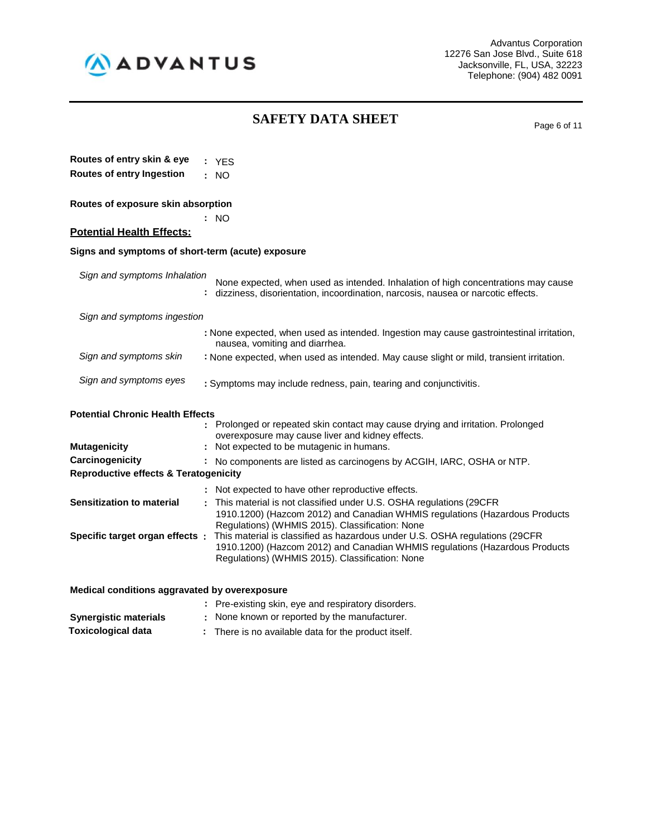

# **SAFETY DATA SHEET** Page 6 of 11

| Routes of entry skin & eye                                          | : YES                                                                                                                                                                                                         |
|---------------------------------------------------------------------|---------------------------------------------------------------------------------------------------------------------------------------------------------------------------------------------------------------|
| <b>Routes of entry Ingestion</b>                                    | : NO                                                                                                                                                                                                          |
| Routes of exposure skin absorption                                  |                                                                                                                                                                                                               |
|                                                                     | NO.                                                                                                                                                                                                           |
| <b>Potential Health Effects:</b>                                    |                                                                                                                                                                                                               |
| Signs and symptoms of short-term (acute) exposure                   |                                                                                                                                                                                                               |
| Sign and symptoms Inhalation                                        | None expected, when used as intended. Inhalation of high concentrations may cause<br>dizziness, disorientation, incoordination, narcosis, nausea or narcotic effects.                                         |
| Sign and symptoms ingestion                                         |                                                                                                                                                                                                               |
|                                                                     | : None expected, when used as intended. Ingestion may cause gastrointestinal irritation,<br>nausea, vomiting and diarrhea.                                                                                    |
| Sign and symptoms skin                                              | : None expected, when used as intended. May cause slight or mild, transient irritation.                                                                                                                       |
| Sign and symptoms eyes                                              | : Symptoms may include redness, pain, tearing and conjunctivitis.                                                                                                                                             |
| <b>Potential Chronic Health Effects</b>                             | Prolonged or repeated skin contact may cause drying and irritation. Prolonged<br>overexposure may cause liver and kidney effects.                                                                             |
| <b>Mutagenicity</b>                                                 | Not expected to be mutagenic in humans.                                                                                                                                                                       |
| Carcinogenicity<br><b>Reproductive effects &amp; Teratogenicity</b> | No components are listed as carcinogens by ACGIH, IARC, OSHA or NTP.                                                                                                                                          |
|                                                                     | Not expected to have other reproductive effects.<br>This material is not classified under U.S. OSHA regulations (29CFR                                                                                        |
| <b>Sensitization to material</b>                                    | 1910.1200) (Hazcom 2012) and Canadian WHMIS regulations (Hazardous Products<br>Regulations) (WHMIS 2015). Classification: None                                                                                |
| Specific target organ effects :                                     | This material is classified as hazardous under U.S. OSHA regulations (29CFR<br>1910.1200) (Hazcom 2012) and Canadian WHMIS regulations (Hazardous Products<br>Regulations) (WHMIS 2015). Classification: None |
| Medical conditions aggravated by overexposure                       |                                                                                                                                                                                                               |
|                                                                     | : Pre-existing skin, eye and respiratory disorders.                                                                                                                                                           |

| <b>Synergistic materials</b> | : None known or reported by the manufacturer.        |
|------------------------------|------------------------------------------------------|
| <b>Toxicological data</b>    | : There is no available data for the product itself. |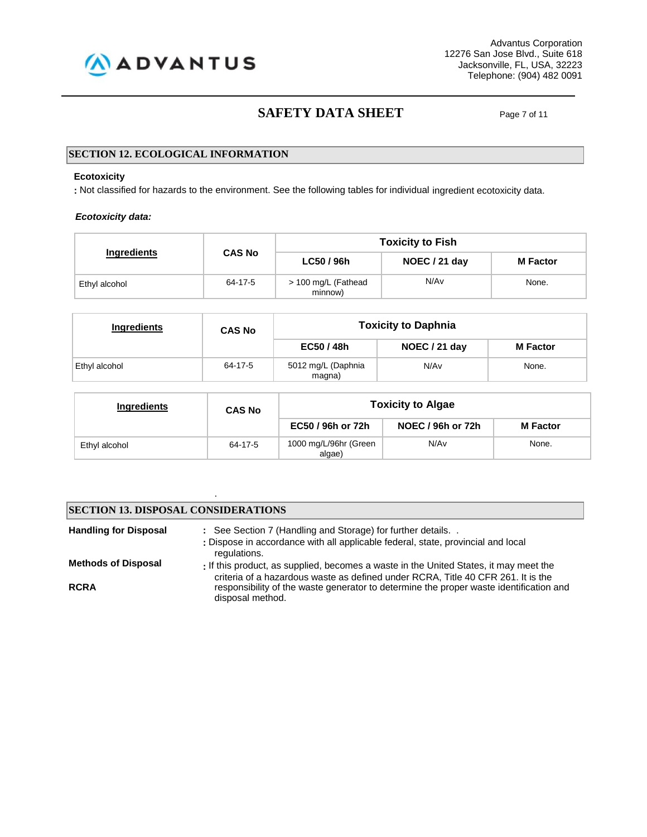

Advantus Corporation 12276 San Jose Blvd., Suite 618 Jacksonville, FL, USA, 32223 Telephone: (904) 482 0091

### **SAFETY DATA SHEET** Page 7 of 11

#### **SECTION 12. ECOLOGICAL INFORMATION**

#### **Ecotoxicity**

**:** Not classified for hazards to the environment. See the following tables for individual ingredient ecotoxicity data.

#### *Ecotoxicity data:*

|                    |               | <b>Toxicity to Fish</b>        |               |                 |  |  |  |
|--------------------|---------------|--------------------------------|---------------|-----------------|--|--|--|
| <b>Ingredients</b> | <b>CAS No</b> | LC50 / 96h                     | NOEC / 21 day | <b>M</b> Factor |  |  |  |
| Ethyl alcohol      | 64-17-5       | > 100 mg/L (Fathead<br>minnow) | N/Av          | None.           |  |  |  |

| <b>Ingredients</b> | <b>CAS No</b> | <b>Toxicity to Daphnia</b>           |               |                 |
|--------------------|---------------|--------------------------------------|---------------|-----------------|
|                    |               | EC50 / 48h                           | NOEC / 21 day | <b>M</b> Factor |
| Ethyl alcohol      | 64-17-5       | 5012 mg/L (Daphnia<br>N/Av<br>magna) |               | None.           |

| Ingredients   | <b>CAS No</b> | <b>Toxicity to Algae</b>        |                   |                 |  |
|---------------|---------------|---------------------------------|-------------------|-----------------|--|
|               |               | EC50 / 96h or 72h               | NOEC / 96h or 72h | <b>M</b> Factor |  |
| Ethyl alcohol | 64-17-5       | 1000 mg/L/96hr (Green<br>algae) | N/A <sub>v</sub>  | None.           |  |

#### **SECTION 13. DISPOSAL CONSIDERATIONS**

.

| <b>Handling for Disposal</b> | : See Section 7 (Handling and Storage) for further details<br>: Dispose in accordance with all applicable federal, state, provincial and local<br>regulations.            |
|------------------------------|---------------------------------------------------------------------------------------------------------------------------------------------------------------------------|
| <b>Methods of Disposal</b>   | : If this product, as supplied, becomes a waste in the United States, it may meet the<br>criteria of a hazardous waste as defined under RCRA, Title 40 CFR 261. It is the |
| <b>RCRA</b>                  | responsibility of the waste generator to determine the proper waste identification and<br>disposal method.                                                                |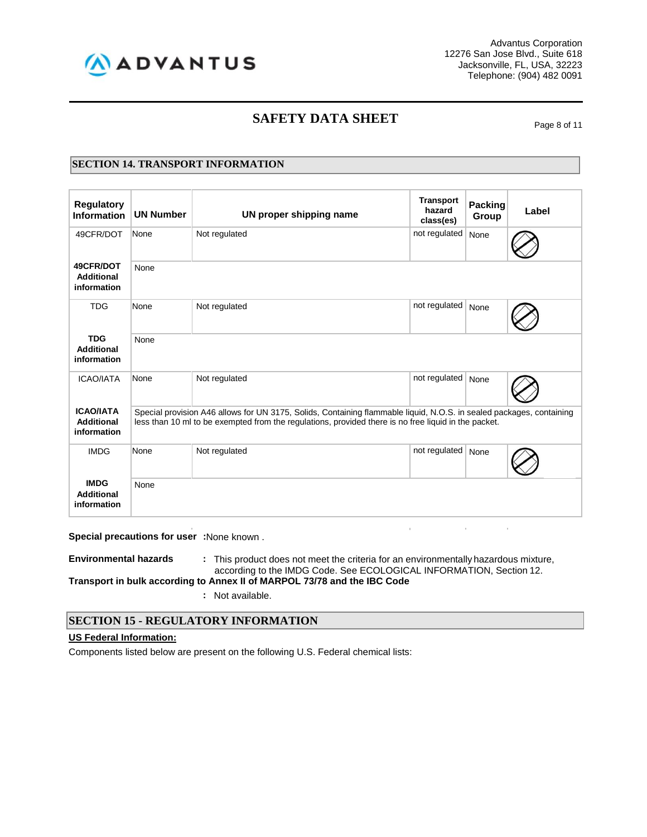

Advantus Corporation 12276 San Jose Blvd., Suite 618 Jacksonville, FL, USA, 32223 Telephone: (904) 482 0091

### **SAFETY DATA SHEET** Page 8 of 11

#### **SECTION 14. TRANSPORT INFORMATION**

| <b>Regulatory</b><br><b>Information</b>              | <b>UN Number</b>                                                                                                                                                                                                             | UN proper shipping name | <b>Transport</b><br>hazard<br>class(es) | <b>Packing</b><br>Group | Label |  |  |  |  |
|------------------------------------------------------|------------------------------------------------------------------------------------------------------------------------------------------------------------------------------------------------------------------------------|-------------------------|-----------------------------------------|-------------------------|-------|--|--|--|--|
| 49CFR/DOT                                            | None                                                                                                                                                                                                                         | Not regulated           | not regulated                           | None                    |       |  |  |  |  |
| 49CFR/DOT<br><b>Additional</b><br>information        | None                                                                                                                                                                                                                         |                         |                                         |                         |       |  |  |  |  |
| <b>TDG</b>                                           | None                                                                                                                                                                                                                         | Not regulated           | not regulated                           | None                    |       |  |  |  |  |
| <b>TDG</b><br><b>Additional</b><br>information       | None                                                                                                                                                                                                                         |                         |                                         |                         |       |  |  |  |  |
| <b>ICAO/IATA</b>                                     | None                                                                                                                                                                                                                         | Not regulated           | not regulated                           | None                    |       |  |  |  |  |
| <b>ICAO/IATA</b><br><b>Additional</b><br>information | Special provision A46 allows for UN 3175, Solids, Containing flammable liquid, N.O.S. in sealed packages, containing<br>less than 10 ml to be exempted from the regulations, provided there is no free liquid in the packet. |                         |                                         |                         |       |  |  |  |  |
| <b>IMDG</b>                                          | None                                                                                                                                                                                                                         | Not regulated           | not regulated                           | None                    |       |  |  |  |  |
| <b>IMDG</b><br><b>Additional</b><br>information      | None                                                                                                                                                                                                                         |                         |                                         |                         |       |  |  |  |  |

**Special precautions for user :**None known .

**Environmental hazards :** This product does not meet the criteria for an environmentally hazardous mixture, according to the IMDG Code. See ECOLOGICAL INFORMATION, Section 12. **Transport in bulk according to Annex II of MARPOL 73/78 and the IBC Code**

**:** Not available.

#### **SECTION 15 - REGULATORY INFORMATION**

#### **US Federal Information:**

Components listed below are present on the following U.S. Federal chemical lists: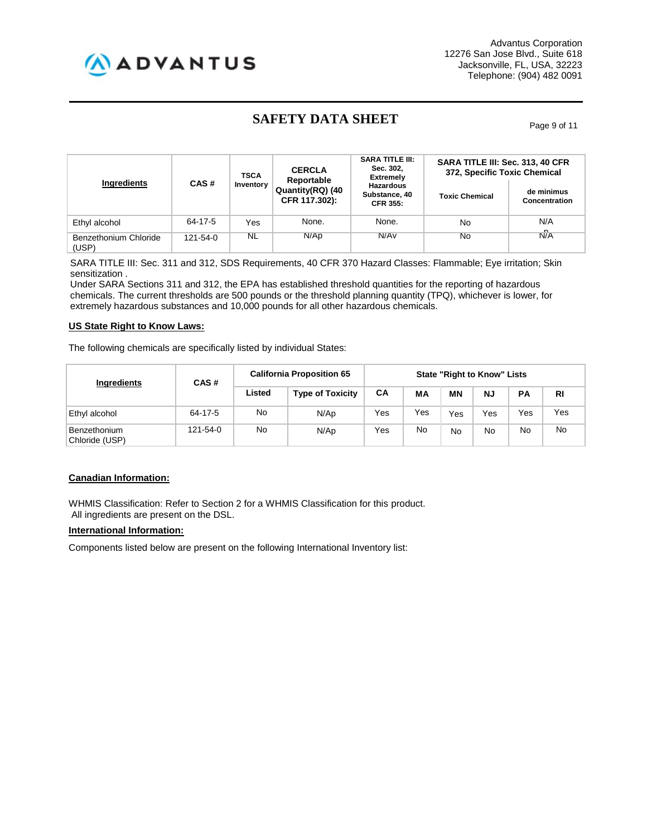

# **SAFETY DATA SHEET** Page 9 of 11

| Ingredients                    | CAS#           | <b>TSCA</b><br>Inventory | <b>CERCLA</b><br>Reportable<br>Quantity(RQ) (40<br>CFR 117.302): | <b>SARA TITLE III:</b><br>Sec. 302,<br><b>Extremely</b><br><b>Hazardous</b><br>Substance, 40<br><b>CFR 355:</b> | SARA TITLE III: Sec. 313, 40 CFR<br>372, Specific Toxic Chemical<br><b>Toxic Chemical</b> | de minimus<br><b>Concentration</b> |
|--------------------------------|----------------|--------------------------|------------------------------------------------------------------|-----------------------------------------------------------------------------------------------------------------|-------------------------------------------------------------------------------------------|------------------------------------|
| Ethyl alcohol                  | 64-17-5        | Yes                      | None.                                                            | None.                                                                                                           | No                                                                                        | N/A<br>n                           |
| Benzethonium Chloride<br>(USP) | $121 - 54 - 0$ | NL                       | N/Ap                                                             | N/Av                                                                                                            | No                                                                                        | N/A                                |

SARA TITLE III: Sec. 311 and 312, SDS Requirements, 40 CFR 370 Hazard Classes: Flammable; Eye irritation; Skin sensitization .

Under SARA Sections 311 and 312, the EPA has established threshold quantities for the reporting of hazardous chemicals. The current thresholds are 500 pounds or the threshold planning quantity (TPQ), whichever is lower, for extremely hazardous substances and 10,000 pounds for all other hazardous chemicals.

#### **US State Right to Know Laws:**

The following chemicals are specifically listed by individual States:

|                                | CAS#<br>Ingredients | <b>California Proposition 65</b> |                         | <b>State "Right to Know" Lists</b> |     |     |           |     |           |
|--------------------------------|---------------------|----------------------------------|-------------------------|------------------------------------|-----|-----|-----------|-----|-----------|
|                                |                     | Listed                           | <b>Type of Toxicity</b> | СA                                 | MА  | МN  | <b>NJ</b> | PA  | <b>RI</b> |
| Ethyl alcohol                  | 64-17-5             | No                               | N/Ap                    | Yes                                | Yes | Yes | Yes       | Yes | Yes       |
| Benzethonium<br>Chloride (USP) | 121-54-0            | No.                              | N/Ap                    | Yes                                | No  | No  | No        | No  | No        |

#### **Canadian Information:**

WHMIS Classification: Refer to Section 2 for a WHMIS Classification for this product. All ingredients are present on the DSL.

#### **International Information:**

Components listed below are present on the following International Inventory list: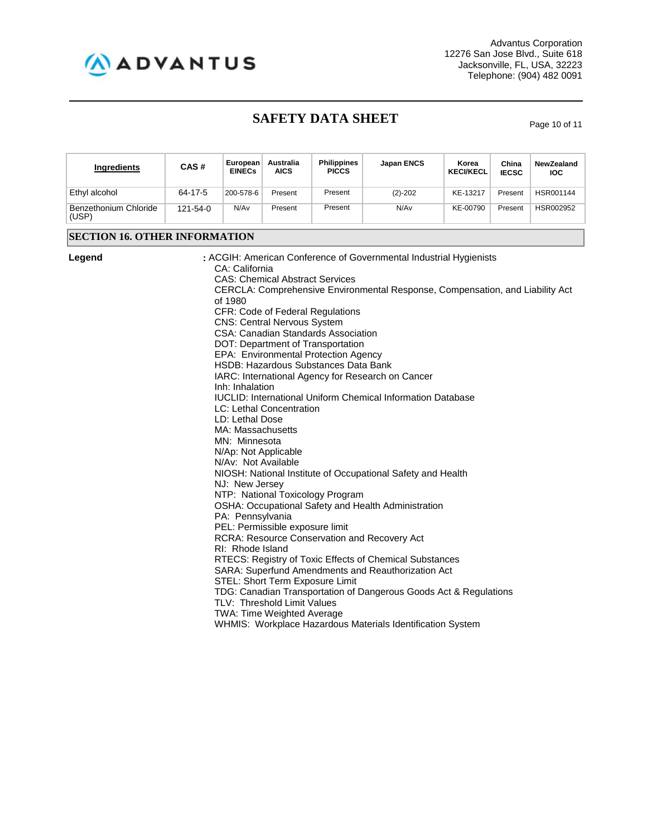

# **SAFETY DATA SHEET** Page 10 of 11

| Ingredients                          | CAS#     | European<br><b>EINECs</b>                                                                                                                                                                                      | Australia<br><b>AICS</b>                                                                                                         | <b>Philippines</b><br><b>PICCS</b>                                                                                                                                                                                                                                                                                          | <b>Japan ENCS</b>                                                                                                                                                                                                                                                                                                                                                                                                                                                                                                                                                                                                                                 | Korea<br><b>KECI/KECL</b> | China<br><b>IECSC</b> | <b>NewZealand</b><br><b>IOC</b> |  |  |  |
|--------------------------------------|----------|----------------------------------------------------------------------------------------------------------------------------------------------------------------------------------------------------------------|----------------------------------------------------------------------------------------------------------------------------------|-----------------------------------------------------------------------------------------------------------------------------------------------------------------------------------------------------------------------------------------------------------------------------------------------------------------------------|---------------------------------------------------------------------------------------------------------------------------------------------------------------------------------------------------------------------------------------------------------------------------------------------------------------------------------------------------------------------------------------------------------------------------------------------------------------------------------------------------------------------------------------------------------------------------------------------------------------------------------------------------|---------------------------|-----------------------|---------------------------------|--|--|--|
| Ethyl alcohol                        | 64-17-5  | 200-578-6                                                                                                                                                                                                      | Present                                                                                                                          | Present                                                                                                                                                                                                                                                                                                                     | $(2)-202$                                                                                                                                                                                                                                                                                                                                                                                                                                                                                                                                                                                                                                         | KE-13217                  | Present               | HSR001144                       |  |  |  |
| Benzethonium Chloride<br>(USP)       | 121-54-0 | N/Av                                                                                                                                                                                                           | Present                                                                                                                          | Present                                                                                                                                                                                                                                                                                                                     | N/Av                                                                                                                                                                                                                                                                                                                                                                                                                                                                                                                                                                                                                                              | KE-00790                  | Present               | HSR002952                       |  |  |  |
| <b>SECTION 16. OTHER INFORMATION</b> |          |                                                                                                                                                                                                                |                                                                                                                                  |                                                                                                                                                                                                                                                                                                                             |                                                                                                                                                                                                                                                                                                                                                                                                                                                                                                                                                                                                                                                   |                           |                       |                                 |  |  |  |
| Legend                               |          | CA: California<br>of 1980<br>Inh: Inhalation<br>LD: Lethal Dose<br>MA: Massachusetts<br>MN: Minnesota<br>N/Ap: Not Applicable<br>N/Av: Not Available<br>NJ: New Jersey<br>PA: Pennsylvania<br>RI: Rhode Island | <b>CNS: Central Nervous System</b><br>LC: Lethal Concentration<br>PEL: Permissible exposure limit<br>TLV: Threshold Limit Values | <b>CAS: Chemical Abstract Services</b><br><b>CFR: Code of Federal Regulations</b><br><b>CSA: Canadian Standards Association</b><br>DOT: Department of Transportation<br>EPA: Environmental Protection Agency<br>HSDB: Hazardous Substances Data Bank<br>NTP: National Toxicology Program<br>STEL: Short Term Exposure Limit | : ACGIH: American Conference of Governmental Industrial Hygienists<br>CERCLA: Comprehensive Environmental Response, Compensation, and Liability Act<br>IARC: International Agency for Research on Cancer<br><b>IUCLID:</b> International Uniform Chemical Information Database<br>NIOSH: National Institute of Occupational Safety and Health<br>OSHA: Occupational Safety and Health Administration<br><b>RCRA: Resource Conservation and Recovery Act</b><br>RTECS: Registry of Toxic Effects of Chemical Substances<br>SARA: Superfund Amendments and Reauthorization Act<br>TDG: Canadian Transportation of Dangerous Goods Act & Regulations |                           |                       |                                 |  |  |  |
|                                      |          |                                                                                                                                                                                                                | TWA: Time Weighted Average                                                                                                       |                                                                                                                                                                                                                                                                                                                             | WHMIS: Workplace Hazardous Materials Identification System                                                                                                                                                                                                                                                                                                                                                                                                                                                                                                                                                                                        |                           |                       |                                 |  |  |  |